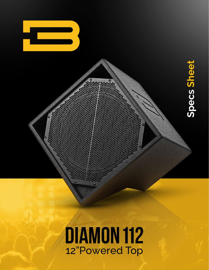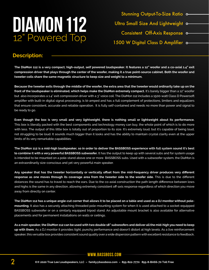

Stunning Output-To-Size Ratio o-Ultra Small Size And Lightweight o-Consistent Off-Axis Response 1500 W Digital Class D Amplifier o-

### **Description:**

**The DiaMon 112 is a very compact, high-output, self powered loudspeaker. It features a 12" woofer and a co-axial 1.4" exit compression driver that plays through the center of the woofer, making it a true point-source cabinet. Both the woofer and tweeter coils share the same magnetic structure to keep size and weight to a minimum.**

**Because the tweeter exits through the middle of the woofer, the extra area that the tweeter would ordinarily take up on the front of the loudspeaker is eliminated, which helps make the DiaMon extremely compact.** It's barely bigger than a 12" woofer but also incorporates a 1.4" exit compression driver with a 3" voice coil. The DiaMon 112 includes a 1500-watt Class D Powersoft amplifier with built-in digital signal processing, is bi-amped and has a full complement of protections, limiters and equalizers that ensure consistent, accurate and reliable operation. It is fully self-contained and needs no more than power and signal to be ready to go.

**Even though the box is very small and very lightweight, there is nothing small or lightweight about its performance.** This box is literally packed with the best components and technology money can buy, the whole point of which is to do more with less. The output of this little box is totally out of proportion to its size. It's extremely loud, but it's capable of being loud, not struggling to be loud. It sounds much bigger than it looks and has the ability to maintain crystal clarity even at the upper limits of its very remarkable capabilities.

**The DiaMon 112 is a mid-high loudspeaker, so in order to deliver the BASSBOSS experience with full system sound it's best to combine it with a very powerful BASSBOSS subwoofer.** It has the output to keep up with several subs and for system usage is intended to be mounted on a pole-stand above one or more BASSBOSS subs. Used with a subwoofer system, the DiaMon is an extraordinarily size-conscious and yet very powerful main speaker.

**Any speaker that has the tweeter horizontally or vertically offset from the mid-frequency driver produces very different response as one moves through its coverage area from the tweeter side to the woofer side.** This is due to the different distances the sound has to travel to reach the ears. Due to the co-axial construction the path length difference between lows and highs is the same in any direction, allowing extremely consistent off-axis response regardless of which direction you move away from directly on center.

**The DiaMon 112 has a unique angle-cut corner that allows it to be placed on a table and used as a DJ monitor without polemounting.** It also has a securely attaching threaded pole-mounting system for when it is used attached to a socket-equipped BASSBOSS subwoofer or on a similarly equipped tripod stand. An adjustable mount bracket is also available for alternative placements and for permanent installations on walls or ceilings.

**As a main speaker, the DiaMon 112 can be used with two double 18" subwoofers and deliver all the mid-high you need to keep up with them.** As a DJ monitor it provides tight, punchy performance and doesn't distort at high levels. As a live reinforcement speaker, this versatile box provides consistent sound quality over a wide dispersion pattern with excellent resistance to feedback.

#### **www.bassboss.com**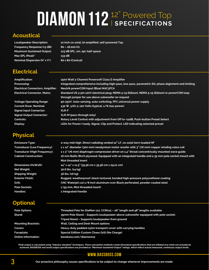# **DIAMON 112**<sup>12"</sup> Powered Top

#### **Acoustical**

**Frequency Response (±3 dB): 80 – 18,000 Hz Max SPL (Peak)\* 133 dB Nominal Dispersion (H° x V°): 80 x 80 (Conical)**

## **Electrical**

**Signal Input Connector: XLR-F**

## **Physical**

**Optional**

**Loudspeaker Description: 12 inch co-axial, bi-amplified, self-powered Top Maximum Sustained Output: 123 dB SPL, 1m, 2pi, half-space**

**Amplification: 1500 Watt 2 Channel Powersoft Class D Amplifier Processing: Integrated comprehensive including high-pass, low-pass, parametric EQ, phase alignment and limiting Electrical Connectors, Amplifier: Neutrik powerCON Input (Blue) NAC3FCA Electrical Connector, Mains: Standard US 3-pin 120V electrical plug: NEMA 5-15 (Edison), NEMA 5-15 (Edison) or powerCON loop through jumper for use above subwoofer on request Voltage Operating Range: 90-250V. Auto-sensing, auto-switching, PFC universal power supply Current Draw, Nominal: 432 W, 3.6A @ 120 Volts (typical, 1/8 max power) Signal Output Connector: XLR-M (pass-through only) Controls: Rotary Level Control with adjustment from Off to +12dB, Push-button Preset Select Display: LEDs for Power/ready, Signal, Clip and Protect. LED indicating selected preset**

**Enclosure Type: 2-way mid-high. Direct radiating vented 12" LF, co-axial horn-loaded HF Transducer (Low Frequency): 1 x 12" diameter (300 mm) neodymium motor woofer with 3" (76 mm) copper winding voice coil Transducer (High Frequency): 1 x 3" (76 mm) diaphragm compression driver on 1.4" throat concentrically mounted wave guide Cabinet Construction: 16 mm Baltic Birch plywood. Equipped with an integrated handle and a 35 mm pole socket mount with M20 threaded insert Dimensions (HxWxD): 14" x 14" x 11.5" (35.56 cm x 35.56 cm x 29.21 cm) Net Weight: 30.6 lbs. (14 kg) Shipping Weight: 36 lbs. (16 kg) Exterior Finish: Rugged, weatherproof, black textured, bonded high-pressure polyurethane coating Grill: CNC Waterjet cut 1/8 inch aluminum over Black perforated, powder-coated steel Pole Sockets: 1 (35 mm, M20 threaded insert) Handles: 1 Integrated Handle**

| <b>Pole Options:</b>       | Threaded Pole for DiaMon 112, CCM112 - 26" length and 48" lengths available       |
|----------------------------|-----------------------------------------------------------------------------------|
| <b>Stand:</b>              | 35mm Pole Stand – Supports loudspeaker above subwoofer equipped with pole socket; |
|                            | Tripod Stand - Supports loudspeaker from ground                                   |
| <b>Mounting Brackets:</b>  | Wall, Ceiling and Desk Mount options                                              |
| Covers:                    | Heavy-duty padded nylon transport cover with carrying handles                     |
| Faceplate:                 | <b>Special Edition Custom Chaos Grill (No Charge)</b>                             |
| <b>Online Information:</b> | bassboss.com/diamon112                                                            |
|                            |                                                                                   |

"Peak output is calculated using "industry standard" techniques. These calculation methods create theoretical specifications that are inflated over what can actually be<br>achieved. BASSBOSS real world output specifications a

#### **www.bassboss.com**